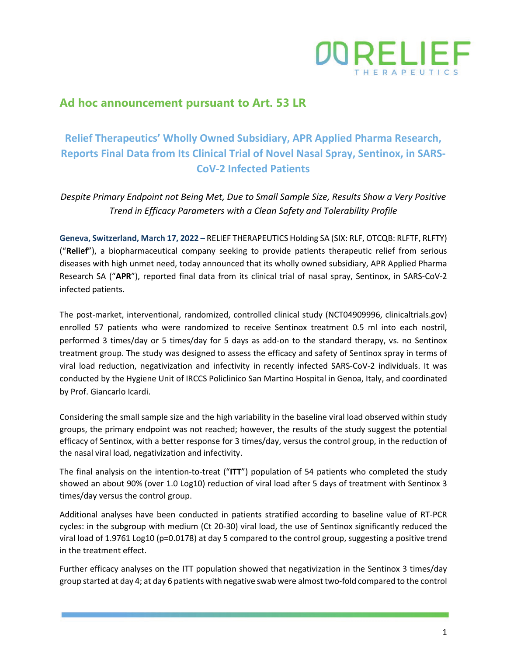

## **Ad hoc announcement pursuant to Art. 53 LR**

# **Relief Therapeutics' Wholly Owned Subsidiary, APR Applied Pharma Research, Reports Final Data from Its Clinical Trial of Novel Nasal Spray, Sentinox, in SARS-CoV-2 Infected Patients**

*Despite Primary Endpoint not Being Met, Due to Small Sample Size, Results Show a Very Positive Trend in Efficacy Parameters with a Clean Safety and Tolerability Profile* 

**Geneva, Switzerland, March 17, 2022 –** RELIEF THERAPEUTICS Holding SA (SIX: RLF, OTCQB: RLFTF, RLFTY) ("**Relief**"), a biopharmaceutical company seeking to provide patients therapeutic relief from serious diseases with high unmet need, today announced that its wholly owned subsidiary, APR Applied Pharma Research SA ("**APR**"), reported final data from its clinical trial of nasal spray, Sentinox, in SARS-CoV-2 infected patients.

The post-market, interventional, randomized, controlled clinical study (NCT04909996, clinicaltrials.gov) enrolled 57 patients who were randomized to receive Sentinox treatment 0.5 ml into each nostril, performed 3 times/day or 5 times/day for 5 days as add-on to the standard therapy, vs. no Sentinox treatment group. The study was designed to assess the efficacy and safety of Sentinox spray in terms of viral load reduction, negativization and infectivity in recently infected SARS-CoV-2 individuals. It was conducted by the Hygiene Unit of IRCCS Policlinico San Martino Hospital in Genoa, Italy, and coordinated by Prof. Giancarlo Icardi.

Considering the small sample size and the high variability in the baseline viral load observed within study groups, the primary endpoint was not reached; however, the results of the study suggest the potential efficacy of Sentinox, with a better response for 3 times/day, versus the control group, in the reduction of the nasal viral load, negativization and infectivity.

The final analysis on the intention-to-treat ("**ITT**") population of 54 patients who completed the study showed an about 90% (over 1.0 Log10) reduction of viral load after 5 days of treatment with Sentinox 3 times/day versus the control group.

Additional analyses have been conducted in patients stratified according to baseline value of RT-PCR cycles: in the subgroup with medium (Ct 20-30) viral load, the use of Sentinox significantly reduced the viral load of 1.9761 Log10 (p=0.0178) at day 5 compared to the control group, suggesting a positive trend in the treatment effect.

Further efficacy analyses on the ITT population showed that negativization in the Sentinox 3 times/day group started at day 4; at day 6 patients with negative swab were almost two-fold compared to the control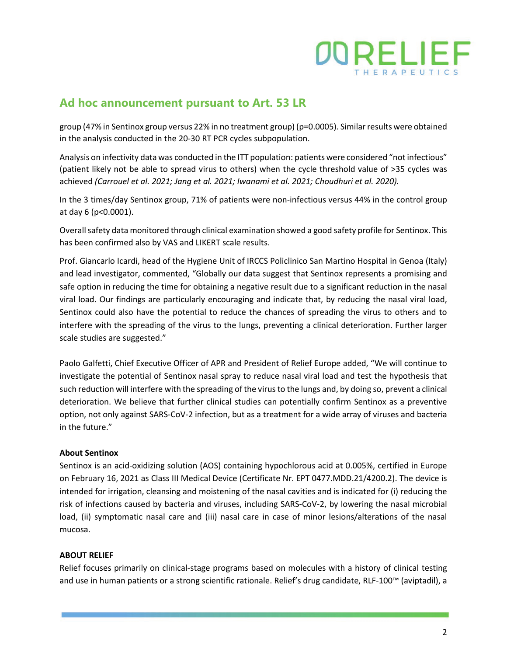

## **Ad hoc announcement pursuant to Art. 53 LR**

group (47% in Sentinox group versus 22% in no treatment group) (p=0.0005). Similar results were obtained in the analysis conducted in the 20-30 RT PCR cycles subpopulation.

Analysis on infectivity data was conducted in the ITT population: patients were considered "not infectious" (patient likely not be able to spread virus to others) when the cycle threshold value of >35 cycles was achieved *(Carrouel et al. 2021; Jang et al. 2021; Iwanami et al. 2021; Choudhuri et al. 2020).*

In the 3 times/day Sentinox group, 71% of patients were non-infectious versus 44% in the control group at day 6 (p<0.0001).

Overall safety data monitored through clinical examination showed a good safety profile for Sentinox. This has been confirmed also by VAS and LIKERT scale results.

Prof. Giancarlo Icardi, head of the Hygiene Unit of IRCCS Policlinico San Martino Hospital in Genoa (Italy) and lead investigator, commented, "Globally our data suggest that Sentinox represents a promising and safe option in reducing the time for obtaining a negative result due to a significant reduction in the nasal viral load. Our findings are particularly encouraging and indicate that, by reducing the nasal viral load, Sentinox could also have the potential to reduce the chances of spreading the virus to others and to interfere with the spreading of the virus to the lungs, preventing a clinical deterioration. Further larger scale studies are suggested."

Paolo Galfetti, Chief Executive Officer of APR and President of Relief Europe added, "We will continue to investigate the potential of Sentinox nasal spray to reduce nasal viral load and test the hypothesis that such reduction will interfere with the spreading of the virus to the lungs and, by doing so, prevent a clinical deterioration. We believe that further clinical studies can potentially confirm Sentinox as a preventive option, not only against SARS-CoV-2 infection, but as a treatment for a wide array of viruses and bacteria in the future."

#### **About Sentinox**

Sentinox is an acid-oxidizing solution (AOS) containing hypochlorous acid at 0.005%, certified in Europe on February 16, 2021 as Class III Medical Device (Certificate Nr. EPT 0477.MDD.21/4200.2). The device is intended for irrigation, cleansing and moistening of the nasal cavities and is indicated for (i) reducing the risk of infections caused by bacteria and viruses, including SARS-CoV-2, by lowering the nasal microbial load, (ii) symptomatic nasal care and (iii) nasal care in case of minor lesions/alterations of the nasal mucosa.

#### **ABOUT RELIEF**

Relief focuses primarily on clinical-stage programs based on molecules with a history of clinical testing and use in human patients or a strong scientific rationale. Relief's drug candidate, RLF-100™ (aviptadil), a